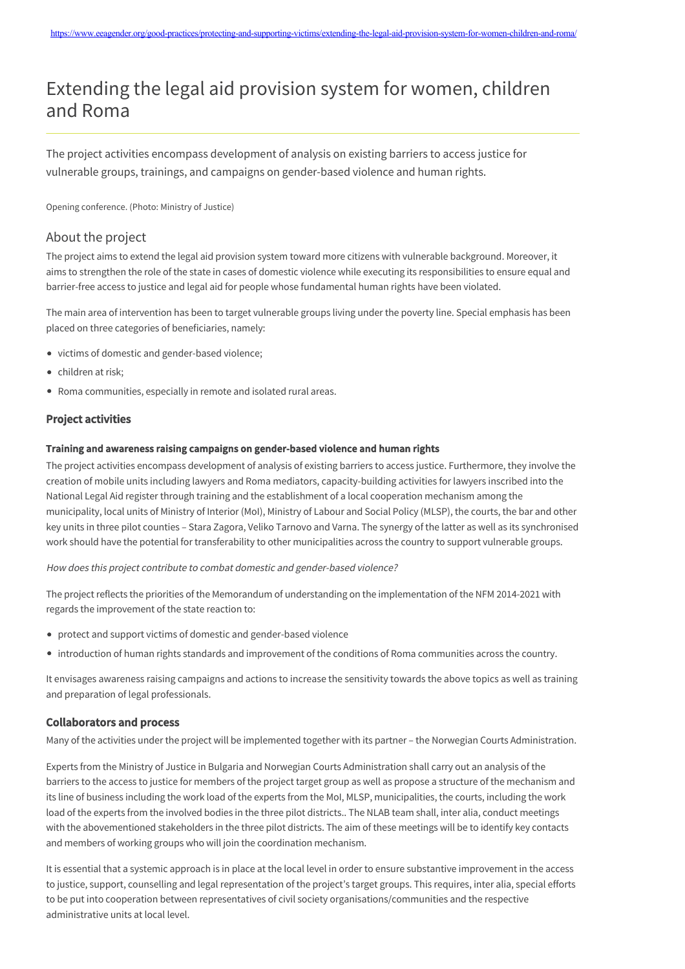# Extending the legal aid provision system for women, children and Roma

The project activities encompass development of analysis on existing barriers to access justice for vulnerable groups, trainings, and campaigns on gender-based violence and human rights.

Opening conference. (Photo: Ministry of Justice)

## About the project

The project aims to extend the legal aid provision system toward more citizens with vulnerable background. Moreover, it aims to strengthen the role of the state in cases of domestic violence while executing its responsibilities to ensure equal and barrier-free access to justice and legal aid for people whose fundamental human rights have been violated.

The main area of intervention has been to target vulnerable groups living under the poverty line. Special emphasis has been placed on three categories of beneficiaries, namely:

- victims of domestic and gender-based violence;
- children at risk;
- Roma communities, especially in remote and isolated rural areas.

### Project activities

#### Training and awareness raising campaigns on gender-based violence and human rights

The project activities encompass development of analysis of existing barriers to access justice. Furthermore, they involve the creation of mobile units including lawyers and Roma mediators, capacity-building activities for lawyers inscribed into the National Legal Aid register through training and the establishment of a local cooperation mechanism among the municipality, local units of Ministry of Interior (MoI), Ministry of Labour and Social Policy (MLSP), the courts, the bar and other key units in three pilot counties – Stara Zagora, Veliko Tarnovo and Varna. The synergy of the latter as well as its synchronised work should have the potential for transferability to other municipalities across the country to support vulnerable groups.

#### How does this project contribute to combat domestic and gender-based violence?

The project reflects the priorities of the Memorandum of understanding on the implementation of the NFM 2014-2021 with regards the improvement of the state reaction to:

- protect and support victims of domestic and gender-based violence
- introduction of human rights standards and improvement of the conditions of Roma communities across the country.

It envisages awareness raising campaigns and actions to increase the sensitivity towards the above topics as well as training and preparation of legal professionals.

#### Collaborators and process

Many of the activities under the project will be implemented together with its partner – the Norwegian Courts Administration.

Experts from the Ministry of Justice in Bulgaria and Norwegian Courts Administration shall carry out an analysis of the barriers to the access to justice for members of the project target group as well as propose a structure of the mechanism and its line of business including the work load of the experts from the MoI, MLSP, municipalities, the courts, including the work load of the experts from the involved bodies in the three pilot districts.. The NLAB team shall, inter alia, conduct meetings with the abovementioned stakeholders in the three pilot districts. The aim of these meetings will be to identify key contacts and members of working groups who will join the coordination mechanism.

It is essential that a systemic approach is in place at the local level in order to ensure substantive improvement in the access to justice, support, counselling and legal representation of the project's target groups. This requires, inter alia, special efforts to be put into cooperation between representatives of civil society organisations/communities and the respective administrative units at local level.